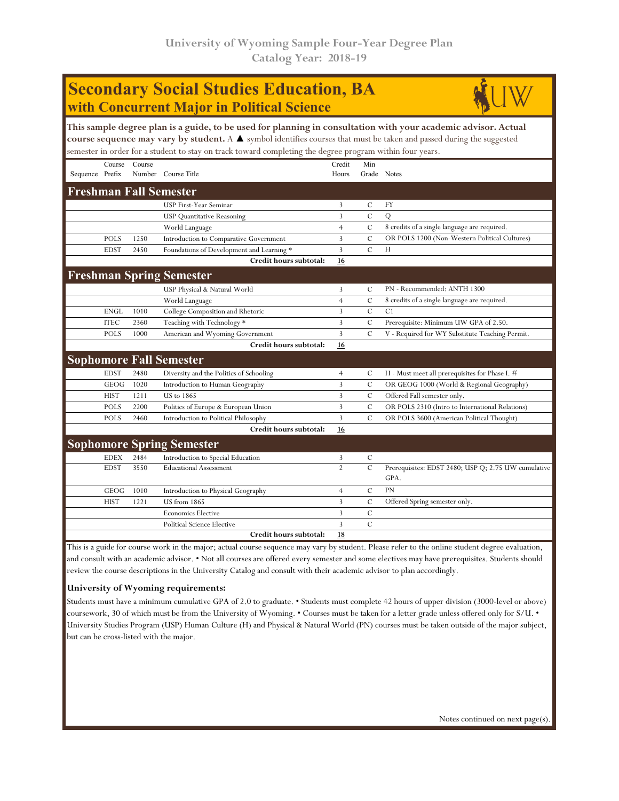| <b>Secondary Social Studies Education, BA</b>                                                                                                                                                                                                                                                                                                                      |             |        |                                           |                 |                |                                                             |  |  |  |  |  |
|--------------------------------------------------------------------------------------------------------------------------------------------------------------------------------------------------------------------------------------------------------------------------------------------------------------------------------------------------------------------|-------------|--------|-------------------------------------------|-----------------|----------------|-------------------------------------------------------------|--|--|--|--|--|
| with Concurrent Major in Political Science                                                                                                                                                                                                                                                                                                                         |             |        |                                           |                 |                |                                                             |  |  |  |  |  |
| This sample degree plan is a guide, to be used for planning in consultation with your academic advisor. Actual<br>course sequence may vary by student. A $\blacktriangle$ symbol identifies courses that must be taken and passed during the suggested<br>semester in order for a student to stay on track toward completing the degree program within four years. |             |        |                                           |                 |                |                                                             |  |  |  |  |  |
| Sequence Prefix                                                                                                                                                                                                                                                                                                                                                    | Course      | Course | Number Course Title                       | Credit<br>Hours | Min            | Grade Notes                                                 |  |  |  |  |  |
| <b>Freshman Fall Semester</b>                                                                                                                                                                                                                                                                                                                                      |             |        |                                           |                 |                |                                                             |  |  |  |  |  |
|                                                                                                                                                                                                                                                                                                                                                                    |             |        | USP First-Year Seminar                    | 3               | C              | <b>FY</b>                                                   |  |  |  |  |  |
|                                                                                                                                                                                                                                                                                                                                                                    |             |        | <b>USP</b> Quantitative Reasoning         | 3               | $\mathcal{C}$  | Q                                                           |  |  |  |  |  |
|                                                                                                                                                                                                                                                                                                                                                                    |             |        | World Language                            | $\overline{4}$  | $\cal C$       | 8 credits of a single language are required.                |  |  |  |  |  |
|                                                                                                                                                                                                                                                                                                                                                                    | <b>POLS</b> | 1250   | Introduction to Comparative Government    | 3               | $\mathcal{C}$  | OR POLS 1200 (Non-Western Political Cultures)               |  |  |  |  |  |
|                                                                                                                                                                                                                                                                                                                                                                    | <b>EDST</b> | 2450   | Foundations of Development and Learning * | 3               | $\mathcal{C}$  | H                                                           |  |  |  |  |  |
|                                                                                                                                                                                                                                                                                                                                                                    |             |        | Credit hours subtotal:                    | 16              |                |                                                             |  |  |  |  |  |
|                                                                                                                                                                                                                                                                                                                                                                    |             |        | <b>Freshman Spring Semester</b>           |                 |                |                                                             |  |  |  |  |  |
|                                                                                                                                                                                                                                                                                                                                                                    |             |        | USP Physical & Natural World              | 3               | C              | PN - Recommended: ANTH 1300                                 |  |  |  |  |  |
|                                                                                                                                                                                                                                                                                                                                                                    |             |        | World Language                            | $\overline{4}$  | C              | 8 credits of a single language are required.                |  |  |  |  |  |
|                                                                                                                                                                                                                                                                                                                                                                    | <b>ENGL</b> | 1010   | College Composition and Rhetoric          | 3               | $\overline{C}$ | C <sub>1</sub>                                              |  |  |  |  |  |
|                                                                                                                                                                                                                                                                                                                                                                    | <b>ITEC</b> | 2360   | Teaching with Technology *                | 3               | $\mathcal{C}$  | Prerequisite: Minimum UW GPA of 2.50.                       |  |  |  |  |  |
|                                                                                                                                                                                                                                                                                                                                                                    | <b>POLS</b> | 1000   | American and Wyoming Government           | 3               | $\mathcal{C}$  | V - Required for WY Substitute Teaching Permit.             |  |  |  |  |  |
|                                                                                                                                                                                                                                                                                                                                                                    |             |        | Credit hours subtotal:                    | 16              |                |                                                             |  |  |  |  |  |
|                                                                                                                                                                                                                                                                                                                                                                    |             |        | <b>Sophomore Fall Semester</b>            |                 |                |                                                             |  |  |  |  |  |
|                                                                                                                                                                                                                                                                                                                                                                    | <b>EDST</b> | 2480   | Diversity and the Politics of Schooling   | $\overline{4}$  | C              | H - Must meet all prerequisites for Phase I. #              |  |  |  |  |  |
|                                                                                                                                                                                                                                                                                                                                                                    | GEOG        | 1020   | Introduction to Human Geography           | 3               | C              | OR GEOG 1000 (World & Regional Geography)                   |  |  |  |  |  |
|                                                                                                                                                                                                                                                                                                                                                                    | <b>HIST</b> | 1211   | <b>US</b> to 1865                         | 3               | C              | Offered Fall semester only.                                 |  |  |  |  |  |
|                                                                                                                                                                                                                                                                                                                                                                    | <b>POLS</b> | 2200   | Politics of Europe & European Union       | 3               | C              | OR POLS 2310 (Intro to International Relations)             |  |  |  |  |  |
|                                                                                                                                                                                                                                                                                                                                                                    | <b>POLS</b> | 2460   | Introduction to Political Philosophy      | 3               | $\mathcal{C}$  | OR POLS 3600 (American Political Thought)                   |  |  |  |  |  |
|                                                                                                                                                                                                                                                                                                                                                                    |             |        | Credit hours subtotal:                    | 16              |                |                                                             |  |  |  |  |  |
|                                                                                                                                                                                                                                                                                                                                                                    |             |        | <b>Sophomore Spring Semester</b>          |                 |                |                                                             |  |  |  |  |  |
|                                                                                                                                                                                                                                                                                                                                                                    | <b>EDEX</b> | 2484   | Introduction to Special Education         | 3               | $\mathcal{C}$  |                                                             |  |  |  |  |  |
|                                                                                                                                                                                                                                                                                                                                                                    | <b>EDST</b> | 3550   | <b>Educational Assessment</b>             | $\mathfrak{D}$  | $\mathcal{C}$  | Prerequisites: EDST 2480; USP Q; 2.75 UW cumulative<br>GPA. |  |  |  |  |  |
|                                                                                                                                                                                                                                                                                                                                                                    | GEOG        | 1010   | Introduction to Physical Geography        | 4               | C              | PN                                                          |  |  |  |  |  |
|                                                                                                                                                                                                                                                                                                                                                                    | <b>HIST</b> | 1221   | <b>US</b> from 1865                       | 3               | $\mathcal{C}$  | Offered Spring semester only.                               |  |  |  |  |  |
|                                                                                                                                                                                                                                                                                                                                                                    |             |        | <b>Economics Elective</b>                 | 3               | $\mathcal{C}$  |                                                             |  |  |  |  |  |
|                                                                                                                                                                                                                                                                                                                                                                    |             |        | <b>Political Science Elective</b>         | 3               | $\mathcal{C}$  |                                                             |  |  |  |  |  |
|                                                                                                                                                                                                                                                                                                                                                                    |             |        | Credit hours subtotal:                    | 18              |                |                                                             |  |  |  |  |  |

This is a guide for course work in the major; actual course sequence may vary by student. Please refer to the online student degree evaluation, and consult with an academic advisor. • Not all courses are offered every semester and some electives may have prerequisites. Students should review the course descriptions in the University Catalog and consult with their academic advisor to plan accordingly.

## **University of Wyoming requirements:**

Students must have a minimum cumulative GPA of 2.0 to graduate. • Students must complete 42 hours of upper division (3000-level or above) coursework, 30 of which must be from the University of Wyoming. • Courses must be taken for a letter grade unless offered only for S/U. • University Studies Program (USP) Human Culture (H) and Physical & Natural World (PN) courses must be taken outside of the major subject, but can be cross-listed with the major.